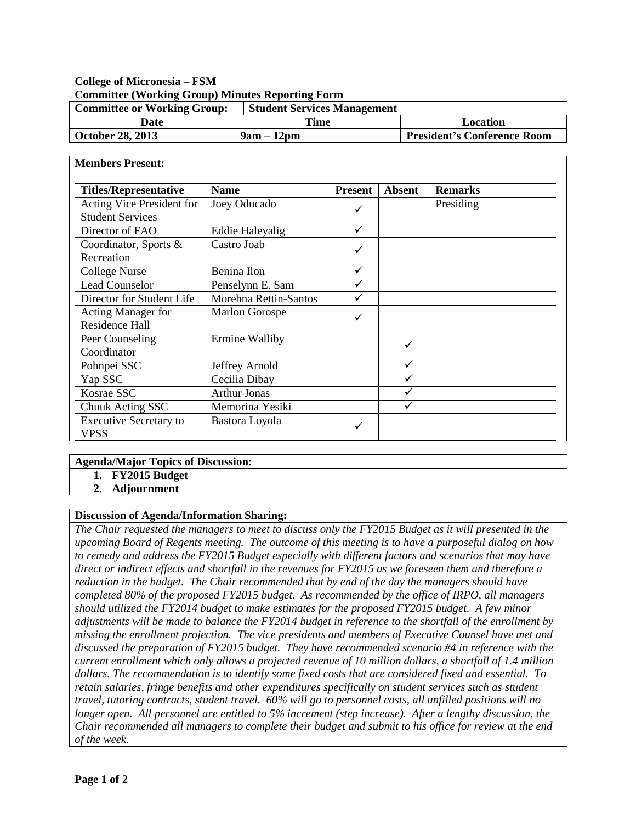# **College of Micronesia – FSM Committee (Working Group) Minutes Reporting Form**

| <b>Committee or Working Group:</b> | <b>Student Services Management</b> |                                    |
|------------------------------------|------------------------------------|------------------------------------|
| Date                               | Time                               | Location                           |
| October 28, 2013                   | $9am - 12pm$                       | <b>President's Conference Room</b> |

#### **Members Present: Titles/Representative Name Present Absent Remarks** Acting Vice President for Student Services Joey Oducado Presiding Director of FAO Eddie Haleyalig  $\sqrt{}$ Coordinator, Sports & **Recreation** Castro Joab  $\text{Collect}$  Nurse Benina Ilon  $\checkmark$ Lead Counselor Penselynn E. Sam ↓ ↓ Director for Student Life  $\parallel$  Morehna Rettin-Santos  $\parallel \sqrt{\phantom{a}}$ Acting Manager for Residence Hall Marlou Gorospe Peer Counseling Coordinator Ermine Walliby  $\bigcup$ Pohnpei SSC Jeffrey Arnold V Yap SSC Cecilia Dibay and Cecilia Dibay Kosrae SSC Arthur Jonas → Northur V Chuuk Acting SSC Memorina Yesiki √ Executive Secretary to VPSS Bastora Loyola

### **Agenda/Major Topics of Discussion:**

- **1. FY2015 Budget**
	- **2. Adjournment**

### **Discussion of Agenda/Information Sharing:**

*The Chair requested the managers to meet to discuss only the FY2015 Budget as it will presented in the upcoming Board of Regents meeting. The outcome of this meeting is to have a purposeful dialog on how to remedy and address the FY2015 Budget especially with different factors and scenarios that may have direct or indirect effects and shortfall in the revenues for FY2015 as we foreseen them and therefore a reduction in the budget. The Chair recommended that by end of the day the managers should have completed 80% of the proposed FY2015 budget. As recommended by the office of IRPO, all managers should utilized the FY2014 budget to make estimates for the proposed FY2015 budget. A few minor adjustments will be made to balance the FY2014 budget in reference to the shortfall of the enrollment by missing the enrollment projection. The vice presidents and members of Executive Counsel have met and discussed the preparation of FY2015 budget. They have recommended scenario #4 in reference with the current enrollment which only allows a projected revenue of 10 million dollars, a shortfall of 1.4 million dollars. The recommendation is to identify some fixed costs that are considered fixed and essential. To retain salaries, fringe benefits and other expenditures specifically on student services such as student travel, tutoring contracts, student travel. 60% will go to personnel costs, all unfilled positions will no longer open. All personnel are entitled to 5% increment (step increase). After a lengthy discussion, the Chair recommended all managers to complete their budget and submit to his office for review at the end of the week.*